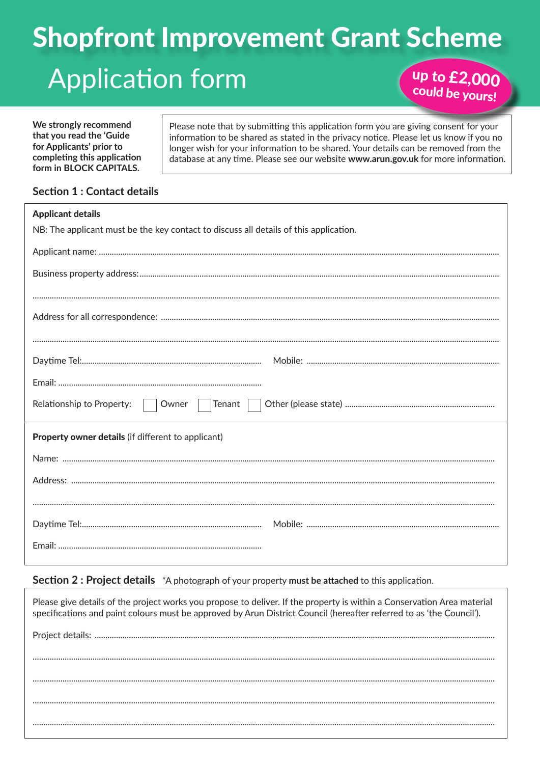# **Shopfront Improvement Grant Scheme** up to £2,000 **Application form** could be yours!

We strongly recommend that you read the 'Guide for Applicants' prior to completing this application form in BLOCK CAPITALS.

Please note that by submitting this application form you are giving consent for your information to be shared as stated in the privacy notice. Please let us know if you no longer wish for your information to be shared. Your details can be removed from the database at any time. Please see our website www.arun.gov.uk for more information.

#### **Section 1: Contact details**

| <b>Applicant details</b>                                                              |
|---------------------------------------------------------------------------------------|
| NB: The applicant must be the key contact to discuss all details of this application. |
|                                                                                       |
|                                                                                       |
|                                                                                       |
|                                                                                       |
|                                                                                       |
|                                                                                       |
|                                                                                       |
|                                                                                       |
|                                                                                       |
|                                                                                       |
| Relationship to Property:<br>Tenant  <br>Owner                                        |
|                                                                                       |
| <b>Property owner details (if different to applicant)</b>                             |
|                                                                                       |
|                                                                                       |
|                                                                                       |
|                                                                                       |
|                                                                                       |
|                                                                                       |
|                                                                                       |
|                                                                                       |

#### Section 2 : Project details \*A photograph of your property must be attached to this application.

Please give details of the project works you propose to deliver. If the property is within a Conservation Area material specifications and paint colours must be approved by Arun District Council (hereafter referred to as 'the Council').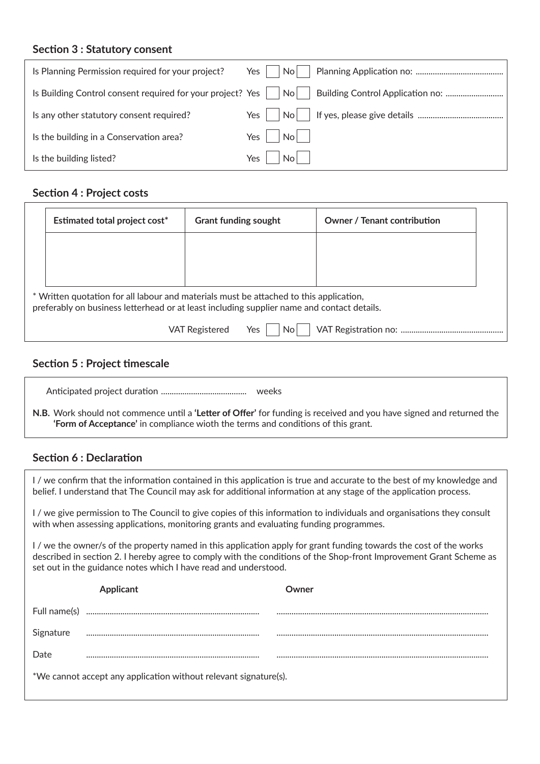## **Section 3 : Statutory consent**

| Is Planning Permission required for your project?          | Yes<br>No                                         |
|------------------------------------------------------------|---------------------------------------------------|
| Is Building Control consent required for your project? Yes | Building Control Application no:<br>$\mathsf{No}$ |
| Is any other statutory consent required?                   | Yes<br>No <sub>1</sub>                            |
| Is the building in a Conservation area?                    | Yes<br>No                                         |
| Is the building listed?                                    | No <sub>1</sub><br>Yes                            |

## **Section 4 : Project costs**

| Estimated total project cost*                                                              | <b>Grant funding sought</b>  |     | <b>Owner / Tenant contribution</b> |  |
|--------------------------------------------------------------------------------------------|------------------------------|-----|------------------------------------|--|
|                                                                                            |                              |     |                                    |  |
|                                                                                            |                              |     |                                    |  |
| * Written quotation for all labour and materials must be attached to this application,     |                              |     |                                    |  |
| preferably on business letterhead or at least including supplier name and contact details. |                              |     |                                    |  |
|                                                                                            | <b>VAT Registered</b><br>Yes | No. |                                    |  |

## **Section 5 : Project timescale**

|  | weeks |
|--|-------|
|--|-------|

**N.B.** Work should not commence until a **'Letter of Offer'** for funding is received and you have signed and returned the **'Form of Acceptance'** in compliance wioth the terms and conditions of this grant.

#### **Section 6 : Declaration**

| I / we confirm that the information contained in this application is true and accurate to the best of my knowledge and<br>belief. I understand that The Council may ask for additional information at any stage of the application process.                                                                 |           |       |  |
|-------------------------------------------------------------------------------------------------------------------------------------------------------------------------------------------------------------------------------------------------------------------------------------------------------------|-----------|-------|--|
| I / we give permission to The Council to give copies of this information to individuals and organisations they consult<br>with when assessing applications, monitoring grants and evaluating funding programmes.                                                                                            |           |       |  |
| I / we the owner/s of the property named in this application apply for grant funding towards the cost of the works<br>described in section 2. I hereby agree to comply with the conditions of the Shop-front Improvement Grant Scheme as<br>set out in the guidance notes which I have read and understood. |           |       |  |
|                                                                                                                                                                                                                                                                                                             | Applicant |       |  |
|                                                                                                                                                                                                                                                                                                             |           | Owner |  |
|                                                                                                                                                                                                                                                                                                             |           |       |  |
| Signature                                                                                                                                                                                                                                                                                                   |           |       |  |
| Date                                                                                                                                                                                                                                                                                                        |           |       |  |